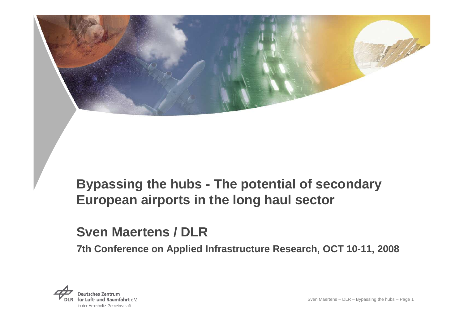

# **Bypassing the hubs - The potential of secondary European airports in the long haul sector**

### **Sven Maertens / DLR**

**7th Conference on Applied Infrastructure Research, OCT 10-11, 2008**

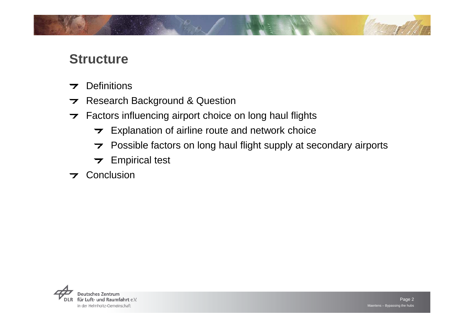

### **Structure**

- **Definitions**  $\overline{\mathbf{z}}$
- Research Background & Question
- Factors influencing airport choice on long haul flights
	- $\rightarrow$  Explanation of airline route and network choice
	- Possible factors on long haul flight supply at secondary airports
	- $\rightarrow$  Empirical test
- **7** Conclusion

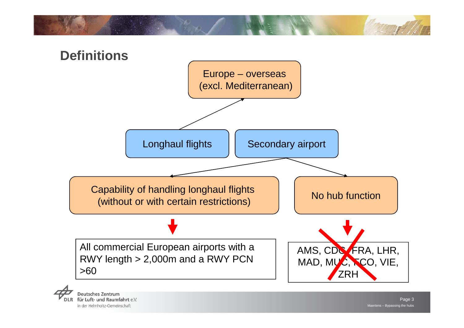



für Luft- und Raumfahrt e.V. in der Helmholtz-Gemeinschaft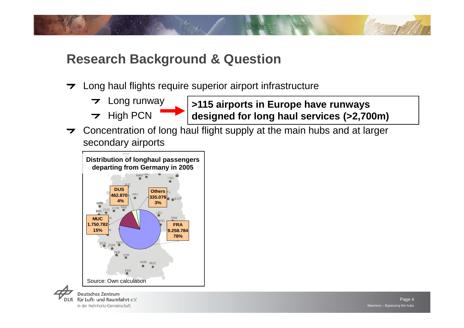

- $\rightarrow$  Long haul flights require superior airport infrastructure
	- Long runway $\overline{\phantom{a}}$
	- $\rightarrow$  High PCN
- **>115 airports in Europe have runways designed for long haul services (>2,700m)**
- Concentration of long haul flight supply at the main hubs and at larger secondary airports



für Luft- und Raumfahrt e.V. in der Helmholtz-Gemeinschaft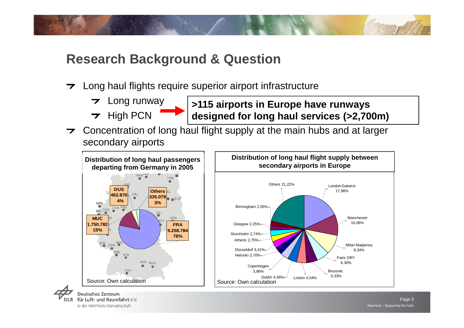

- $\rightarrow$  Long haul flights require superior airport infrastructure
	- Long runway $\overline{\mathbf{z}}$
	- $\rightarrow$  High PCN



 Concentration of long haul flight supply at the main hubs and at larger secondary airports

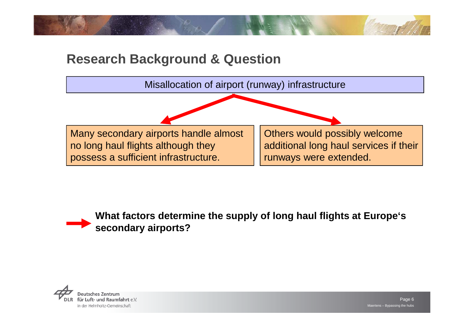



### **What factors determine the supply of long haul flights at Europe's secondary airports?**

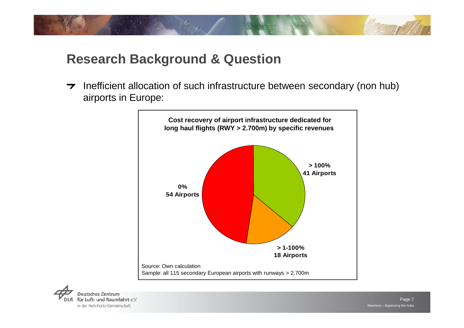

 $\rightarrow$  Inefficient allocation of such infrastructure between secondary (non hub) airports in Europe:

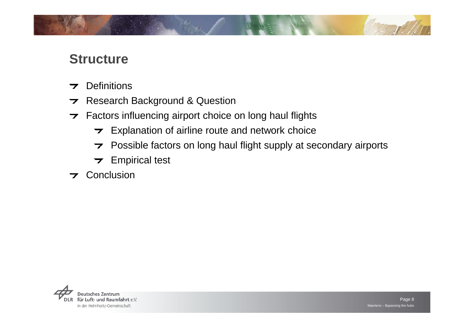

### **Structure**

- **Definitions**  $\overline{\mathbf{z}}$
- Research Background & Question
- Factors influencing airport choice on long haul flights
	- $\rightarrow$  Explanation of airline route and network choice
	- Possible factors on long haul flight supply at secondary airports
	- $\rightarrow$  Empirical test
- **7** Conclusion

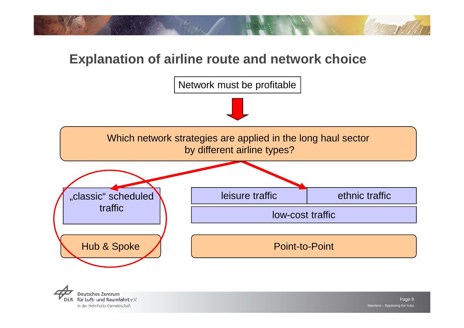

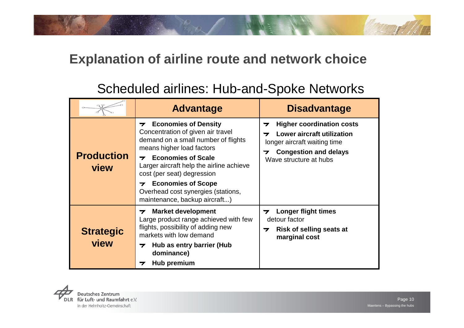# Scheduled airlines: Hub-and-Spoke Networks

|                           | <b>Advantage</b>                                                                                                                                                                                                                                                                                                                                                                                                                    | <b>Disadvantage</b>                                                                                                                                                                       |
|---------------------------|-------------------------------------------------------------------------------------------------------------------------------------------------------------------------------------------------------------------------------------------------------------------------------------------------------------------------------------------------------------------------------------------------------------------------------------|-------------------------------------------------------------------------------------------------------------------------------------------------------------------------------------------|
| <b>Production</b><br>view | <b>Economies of Density</b><br>$\overline{\phantom{a}}$<br>Concentration of given air travel<br>demand on a small number of flights<br>means higher load factors<br><b>Economies of Scale</b><br>$\overline{\phantom{a}}$<br>Larger aircraft help the airline achieve<br>cost (per seat) degression<br><b>Economies of Scope</b><br>$\overline{\phantom{a}}$<br>Overhead cost synergies (stations,<br>maintenance, backup aircraft) | <b>Higher coordination costs</b><br>$\overline{\phantom{a}}$<br>Lower aircraft utilization<br>ᅮ<br>longer aircraft waiting time<br><b>Congestion and delays</b><br>Wave structure at hubs |
| <b>Strategic</b><br>view  | <b>Market development</b><br>7<br>Large product range achieved with few<br>flights, possibility of adding new<br>markets with low demand<br>Hub as entry barrier (Hub<br>$\overline{\mathbf{z}}$<br>dominance)<br>Hub premium<br>7                                                                                                                                                                                                  | <b>Longer flight times</b><br>7<br>detour factor<br><b>Risk of selling seats at</b><br>$\overline{\mathbf{z}}$<br>marginal cost                                                           |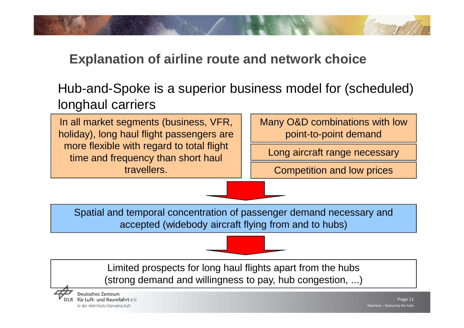

# Hub-and-Spoke is a superior business model for (scheduled) longhaul carriers

In all market segments (business, VFR, holiday), long haul flight passengers are more flexible with regard to total flight time and frequency than short haul travellers.

Many O&D combinations with low point-to-point demand

Long aircraft range necessary

Competition and low prices

Spatial and temporal concentration of passenger demand necessary and accepted (widebody aircraft flying from and to hubs)

Limited prospects for long haul flights apart from the hubs(strong demand and willingness to pay, hub congestion, ...)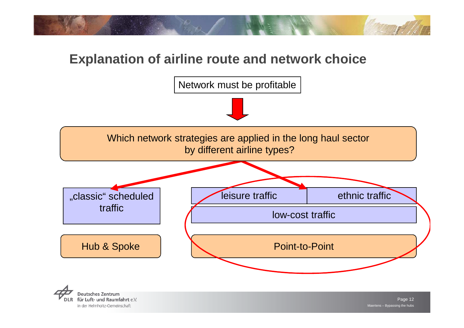



**Deutsches Zentrum** für Luft- und Raumfahrt e.V. in der Helmholtz-Gemeinschaft

Maertens – Bypassing the hubs Page 12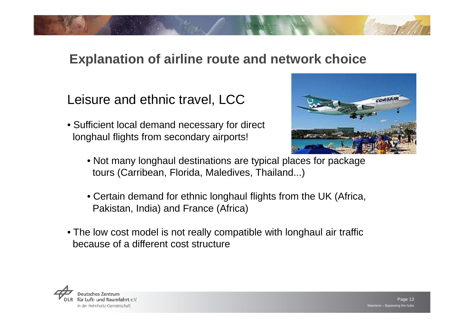Leisure and ethnic travel, LCC

- Sufficient local demand necessary for direct longhaul flights from secondary airports!
	- Not many longhaul destinations are typical places for packagetours (Carribean, Florida, Maledives, Thailand...)
	- Certain demand for ethnic longhaul flights from the UK (Africa, Pakistan, India) and France (Africa)
- The low cost model is not really compatible with longhaul air trafficbecause of a different cost structure



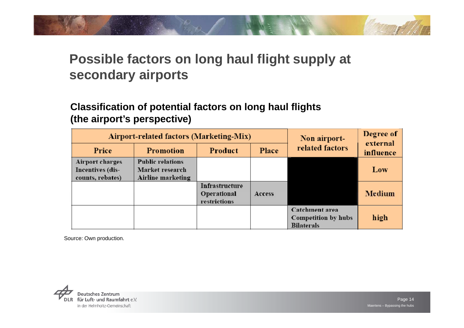# **Possible factors on long haul flight supply at secondary airports**

### **Classification of potential factors on long haul flights (the airport's perspective)**

| <b>Airport-related factors (Marketing-Mix)</b>                 |                                                                 |                                               |        | Non airport-                                               | Degree of<br>external |  |
|----------------------------------------------------------------|-----------------------------------------------------------------|-----------------------------------------------|--------|------------------------------------------------------------|-----------------------|--|
| Price                                                          | <b>Promotion</b>                                                | Product                                       | Place  | related factors                                            | influence             |  |
| <b>Airport charges</b><br>Incentives (dis-<br>counts, rebates) | <b>Public relations</b><br>Market research<br>Airline marketing |                                               |        |                                                            | Low                   |  |
|                                                                |                                                                 | Infrastructure<br>Operational<br>restrictions | Access |                                                            | Medium                |  |
|                                                                |                                                                 |                                               |        | Catchment area<br>Competition by hubs<br><b>Bilaterals</b> | high                  |  |

Source: Own production.

**Deutsches Zentrum** für Luft- und Raumfahrt e.V. in der Helmholtz-Gemeinschaft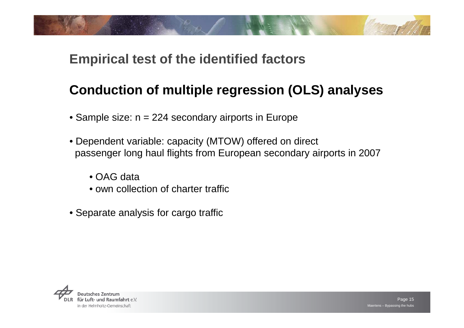# **Conduction of multiple regression (OLS) analyses**

- Sample size: n = 224 secondary airports in Europe
- Dependent variable: capacity (MTOW) offered on direct passenger long haul flights from European secondary airports in 2007
	- OAG data
	- own collection of charter traffic
- Separate analysis for cargo traffic

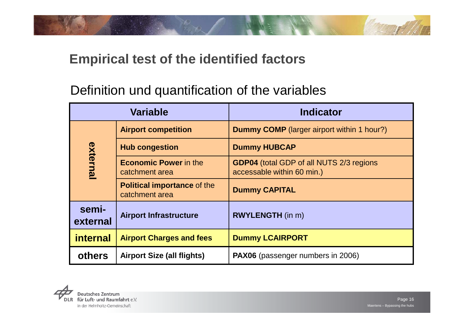

# Definition und quantification of the variables

| <b>Variable</b>   |                                                      | <b>Indicator</b>                                                              |  |
|-------------------|------------------------------------------------------|-------------------------------------------------------------------------------|--|
|                   | <b>Airport competition</b>                           | <b>Dummy COMP</b> (larger airport within 1 hour?)                             |  |
|                   | <b>Hub congestion</b>                                | <b>Dummy HUBCAP</b>                                                           |  |
| external          | <b>Economic Power in the</b><br>catchment area       | <b>GDP04</b> (total GDP of all NUTS 2/3 regions<br>accessable within 60 min.) |  |
|                   | <b>Political importance of the</b><br>catchment area | <b>Dummy CAPITAL</b>                                                          |  |
| semi-<br>external | <b>Airport Infrastructure</b>                        | <b>RWYLENGTH</b> (in m)                                                       |  |
| <b>internal</b>   | <b>Airport Charges and fees</b>                      | <b>Dummy LCAIRPORT</b>                                                        |  |
| <b>others</b>     | <b>Airport Size (all flights)</b>                    | PAX06 (passenger numbers in 2006)                                             |  |

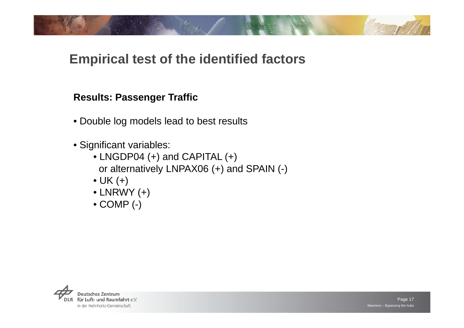### **Results: Passenger Traffic**

- Double log models lead to best results
- Significant variables:
	- LNGDP04 (+) and CAPITAL (+) or alternatively LNPAX06 (+) and SPAIN (-)
	- UK (+)
	- LNRWY (+)
	- COMP (-)

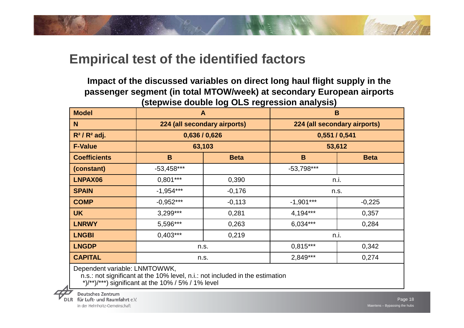

**Impact of the discussed variables on direct long haul flight supply in the passenger segment (in total MTOW/week) at secondary European airports (stepwise double log OLS regression analysis)**

| <b>Model</b>        | $\mathbf{A}$                 |             | B                            |             |  |
|---------------------|------------------------------|-------------|------------------------------|-------------|--|
| N                   | 224 (all secondary airports) |             | 224 (all secondary airports) |             |  |
| $R^2/R^2$ adj.      | 0,636/0,626                  |             | 0,551/0,541                  |             |  |
| <b>F-Value</b>      | 63,103                       |             | 53,612                       |             |  |
| <b>Coefficients</b> | B                            | <b>Beta</b> | B                            | <b>Beta</b> |  |
| (constant)          | $-53,458***$                 |             | $-53,798***$                 |             |  |
| LNPAX06             | $0,801***$                   | 0,390       | n.i.                         |             |  |
| <b>SPAIN</b>        | $-1,954***$                  | $-0,176$    | n.s.                         |             |  |
| <b>COMP</b>         | $-0,952***$                  | $-0,113$    | $-1,901***$                  | $-0,225$    |  |
| <b>UK</b>           | $3,299***$                   | 0,281       | 4,194***                     | 0,357       |  |
| <b>LNRWY</b>        | 5,596***                     | 0,263       | 6,034***                     | 0,284       |  |
| <b>LNGBI</b>        | $0,403***$                   | 0,219       | n.i.                         |             |  |
| <b>LNGDP</b>        | n.s.                         |             | $0.815***$                   | 0,342       |  |
| <b>CAPITAL</b>      | n.s.                         |             | 2,849***                     | 0,274       |  |
|                     |                              |             |                              |             |  |

Dependent variable: LNMTOWWK,

n.s.: not significant at the 10% level, n.i.: not included in the estimation

\*)/\*\*)/\*\*\*) significant at the 10% / 5% / 1% level

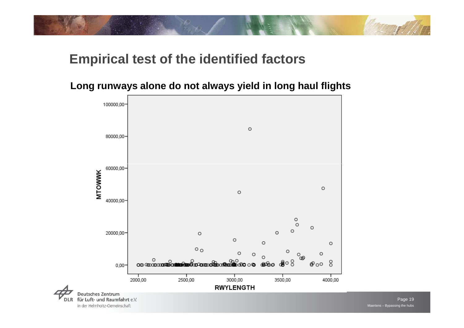

### **Long runways alone do not always yield in long haul flights**

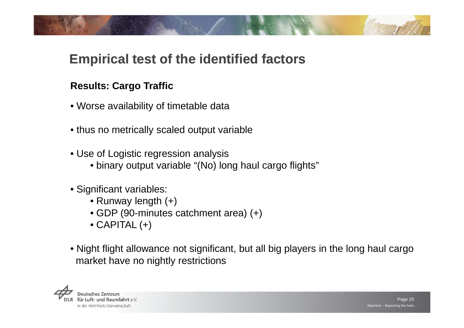### **Results: Cargo Traffic**

- Worse availability of timetable data
- thus no metrically scaled output variable
- Use of Logistic regression analysis
	- binary output variable "(No) long haul cargo flights"
- Significant variables:
	- Runway length (+)
	- GDP (90-minutes catchment area) (+)
	- CAPITAL (+)
- Night flight allowance not significant, but all big players in the long haul cargo market have no nightly restrictions

sches Zentrun für Luft- und Raumfahrt e.V. in der Helmholtz-Gemeinschaft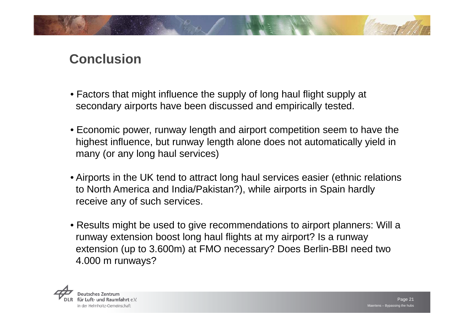

### **Conclusion**

- Factors that might influence the supply of long haul flight supply at secondary airports have been discussed and empirically tested.
- Economic power, runway length and airport competition seem to have the highest influence, but runway length alone does not automatically yield in many (or any long haul services)
- Airports in the UK tend to attract long haul services easier (ethnic relations to North America and India/Pakistan?), while airports in Spain hardly receive any of such services.
- Results might be used to give recommendations to airport planners: Will a runway extension boost long haul flights at my airport? Is a runway extension (up to 3.600m) at FMO necessary? Does Berlin-BBI need two 4.000 m runways?